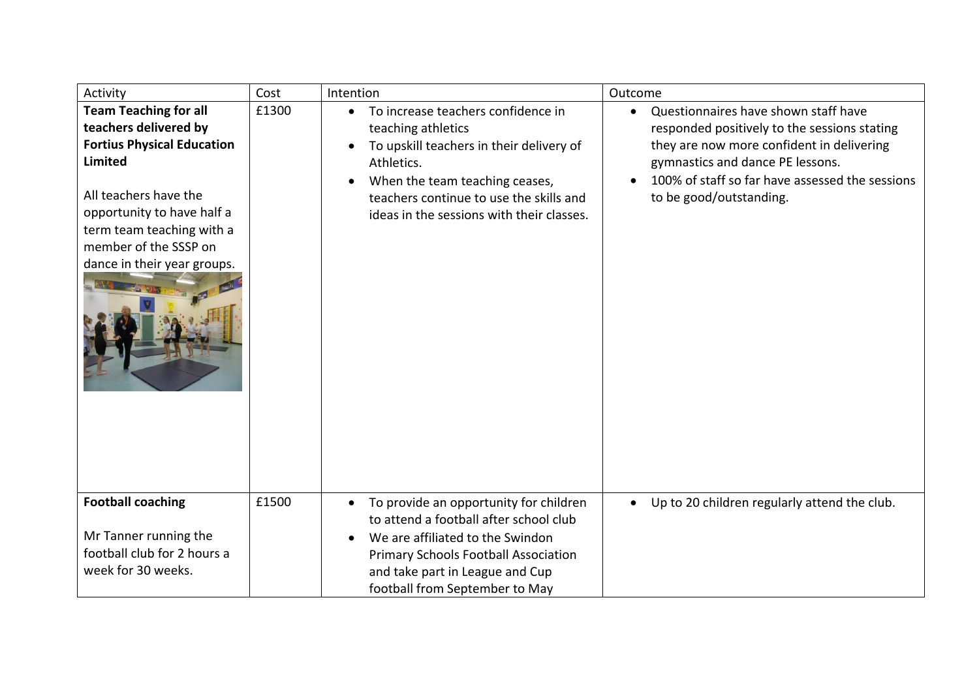| Activity                                                                                                                                                                                                                                                 | Cost  | Intention                                                                                                                                                                                                                                                              | Outcome                                                                                                                                                                                                                                             |
|----------------------------------------------------------------------------------------------------------------------------------------------------------------------------------------------------------------------------------------------------------|-------|------------------------------------------------------------------------------------------------------------------------------------------------------------------------------------------------------------------------------------------------------------------------|-----------------------------------------------------------------------------------------------------------------------------------------------------------------------------------------------------------------------------------------------------|
| <b>Team Teaching for all</b><br>teachers delivered by<br><b>Fortius Physical Education</b><br><b>Limited</b><br>All teachers have the<br>opportunity to have half a<br>term team teaching with a<br>member of the SSSP on<br>dance in their year groups. | £1300 | To increase teachers confidence in<br>$\bullet$<br>teaching athletics<br>To upskill teachers in their delivery of<br>Athletics.<br>When the team teaching ceases,<br>$\bullet$<br>teachers continue to use the skills and<br>ideas in the sessions with their classes. | Questionnaires have shown staff have<br>responded positively to the sessions stating<br>they are now more confident in delivering<br>gymnastics and dance PE lessons.<br>100% of staff so far have assessed the sessions<br>to be good/outstanding. |
| <b>Football coaching</b><br>Mr Tanner running the<br>football club for 2 hours a<br>week for 30 weeks.                                                                                                                                                   | £1500 | To provide an opportunity for children<br>$\bullet$<br>to attend a football after school club<br>We are affiliated to the Swindon<br><b>Primary Schools Football Association</b><br>and take part in League and Cup<br>football from September to May                  | Up to 20 children regularly attend the club.                                                                                                                                                                                                        |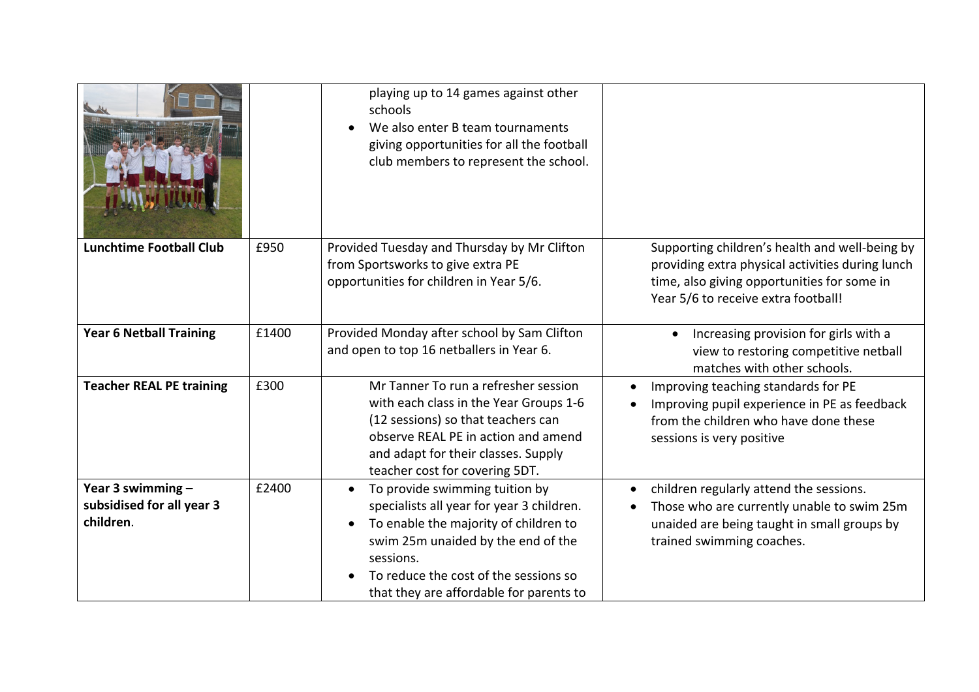|                                                             |       | playing up to 14 games against other<br>schools<br>We also enter B team tournaments<br>giving opportunities for all the football<br>club members to represent the school.                                                                                                             |                                                                                                                                                                                          |
|-------------------------------------------------------------|-------|---------------------------------------------------------------------------------------------------------------------------------------------------------------------------------------------------------------------------------------------------------------------------------------|------------------------------------------------------------------------------------------------------------------------------------------------------------------------------------------|
| <b>Lunchtime Football Club</b>                              | £950  | Provided Tuesday and Thursday by Mr Clifton<br>from Sportsworks to give extra PE<br>opportunities for children in Year 5/6.                                                                                                                                                           | Supporting children's health and well-being by<br>providing extra physical activities during lunch<br>time, also giving opportunities for some in<br>Year 5/6 to receive extra football! |
| <b>Year 6 Netball Training</b>                              | £1400 | Provided Monday after school by Sam Clifton<br>and open to top 16 netballers in Year 6.                                                                                                                                                                                               | Increasing provision for girls with a<br>view to restoring competitive netball<br>matches with other schools.                                                                            |
| <b>Teacher REAL PE training</b>                             | £300  | Mr Tanner To run a refresher session<br>with each class in the Year Groups 1-6<br>(12 sessions) so that teachers can<br>observe REAL PE in action and amend<br>and adapt for their classes. Supply<br>teacher cost for covering 5DT.                                                  | Improving teaching standards for PE<br>Improving pupil experience in PE as feedback<br>from the children who have done these<br>sessions is very positive                                |
| Year 3 swimming -<br>subsidised for all year 3<br>children. | £2400 | To provide swimming tuition by<br>$\bullet$<br>specialists all year for year 3 children.<br>To enable the majority of children to<br>$\bullet$<br>swim 25m unaided by the end of the<br>sessions.<br>To reduce the cost of the sessions so<br>that they are affordable for parents to | children regularly attend the sessions.<br>$\bullet$<br>Those who are currently unable to swim 25m<br>unaided are being taught in small groups by<br>trained swimming coaches.           |